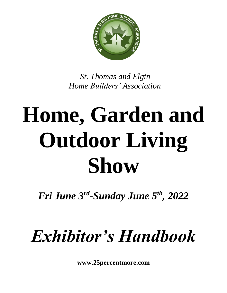

*St. Thomas and Elgin Home Builders' Association*

# **Home, Garden and Outdoor Living Show**

*Fri June 3rd -Sunday June 5th, 2022*

# *Exhibitor's Handbook*

**www.25percentmore.com**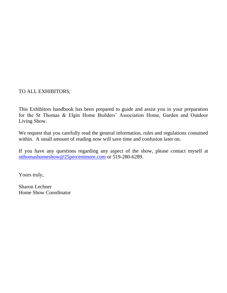TO ALL EXHIBITORS;

This Exhibitors handbook has been prepared to guide and assist you in your preparation for the St Thomas & Elgin Home Builders' Association Home, Garden and Outdoor Living Show.

We request that you carefully read the general information, rules and regulations contained within. A small amount of reading now will save time and confusion later on.

If you have any questions regarding any aspect of the show, please contact myself at [stthomashomeshow@25percentmore.com](mailto:stthomashomeshow@25percentmore.com) or 519-280-6289.

Yours truly,

Sharon Lechner Home Show Coordinator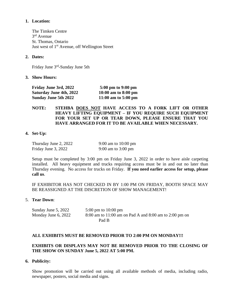#### **1. Location:**

The Timken Centre 3 rd Avenue St. Thomas, Ontario Just west of 1<sup>st</sup> Avenue, off Wellington Street

#### **2. Dates:**

Friday June 3<sup>rd</sup>-Sunday June 5th

#### **3. Show Hours:**

| Friday June 3rd, 2022          | 5:00 pm to 9:00 pm            |
|--------------------------------|-------------------------------|
| <b>Saturday June 4th, 2022</b> | $10:00$ am to $8:00$ pm       |
| <b>Sunday June 5th 2022</b>    | 11:00 am to $5:00 \text{ pm}$ |

#### **NOTE: STEHBA DOES NOT HAVE ACCESS TO A FORK LIFT OR OTHER HEAVY LIFTING EQUIPMENT – IF YOU REQUIRE SUCH EQUIPMENT FOR YOUR SET UP OR TEAR DOWN, PLEASE ENSURE THAT YOU HAVE ARRANGED FOR IT TO BE AVAILABLE WHEN NECESSARY.**

#### **4. Set-Up:**

| Thursday June 2, 2022 | 9:00 am to 10:00 pm          |
|-----------------------|------------------------------|
| Friday June 3, 2022   | 9:00 am to $3:00 \text{ pm}$ |

Setup must be completed by 3:00 pm on Friday June 3, 2022 in order to have aisle carpeting installed. All heavy equipment and trucks requiring access must be in and out no later than Thursday evening. No access for trucks on Friday. **If you need earlier access for setup, please call us**.

IF EXHIBITOR HAS NOT CHECKED IN BY 1:00 PM ON FRIDAY, BOOTH SPACE MAY BE REASSIGNED AT THE DISCRETION OF SHOW MANAGEMENT!

#### 5. **Tear Down**:

| Sunday June 5, 2022 | 5:00 pm to $10:00$ pm                                  |
|---------------------|--------------------------------------------------------|
| Monday June 6, 2022 | 8:00 am to 11:00 am on Pad A and 8:00 am to 2:00 pm on |
|                     | Pad B                                                  |

#### **ALL EXHIBITS MUST BE REMOVED PRIOR TO 2:00 PM ON MONDAY!!!**

#### **EXHIBITS OR DISPLAYS MAY NOT BE REMOVED PRIOR TO THE CLOSING OF THE SHOW ON SUNDAY June 5, 2022 AT 5:00 PM.**

**6. Publicity:**

Show promotion will be carried out using all available methods of media, including radio, newspaper, posters, social media and signs.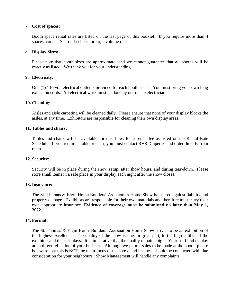#### **7. Cost of spaces:**

Booth space rental rates are listed on the last page of this booklet. If you require more than 4 spaces, contact Sharon Lechner for large volume rates.

#### **8. Display Sizes:**

Please note that booth sizes are approximate, and we cannot guarantee that all booths will be exactly as listed. We thank you for your understanding.

#### **9. Electricity:**

One (1) 110 volt electrical outlet is provided for each booth space. You must bring your own long extension cords. All electrical work must be done by our onsite electrician.

#### **10. Cleaning:**

Aisles and aisle carpeting will be cleaned daily. Please ensure that none of your display blocks the aisles, at any time. Exhibitors are responsible for cleaning their own display areas.

#### **11. Tables and chairs:**

Tables and chairs will be available for the show, for a rental fee as listed on the Rental Rate Schedule. If you require a table or chair, you must contact RVS Draperies and order directly from them.

#### **12. Security:**

Security will be in place during the show setup, after show hours, and during tear-down. Please store small items in a safe place in your display each night after the show closes.

#### **13. Insurance:**

The St. Thomas & Elgin Home Builders' Association Home Show is insured against liability and property damage. Exhibitors are responsible for their own materials and therefore must carry their own appropriate insurance. **Evidence of coverage must be submitted no later than May 1, 2022.**

#### **14. Format:**

The St. Thomas & Elgin Home Builders' Association Home Show strives to be an exhibition of the highest excellence. The quality of the show is due, in great part, to the high caliber of the exhibitor and their displays. It is imperative that the quality remains high. Your staff and display are a direct reflection of your business. Although we permit sales to be made at the booth, please be aware that this is NOT the main focus of the show, and business should be conducted with due consideration for your neighbours. Show Management will handle any complaints.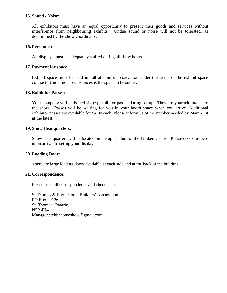#### **15. Sound / Noise:**

All exhibitors must have an equal opportunity to present their goods and services without interference from neighbouring exhibits. Undue sound or noise will not be tolerated, as determined by the show coordinator.

#### **16. Personnel:**

All displays must be adequately staffed during all show hours.

#### **17. Payment for space:**

Exhibit space must be paid in full at time of reservation under the terms of the exhibit space contract. Under no circumstances is the space to be sublet.

#### **18. Exhibitor Passes:**

Your company will be issued six (6) exhibitor passes during set-up. They are your admittance to the show. Passes will be waiting for you in your booth space when you arrive. Additional exhibitor passes are available for \$4.00 each. Please inform us of the number needed by March 1st at the latest.

#### **19. Show Headquarters:**

Show Headquarters will be located on the upper floor of the Timken Centre. Please check in there upon arrival to set-up your display.

#### **20. Loading Door:**

There are large loading doors available at each side and at the back of the building.

#### **21. Correspondence:**

Please send all correspondence and cheques to:

St Thomas & Elgin Home Builders' Association, PO Box 20126 St. Thomas, Ontario, N5P 4H4 Manager.stehbahomeshow@gmail.com